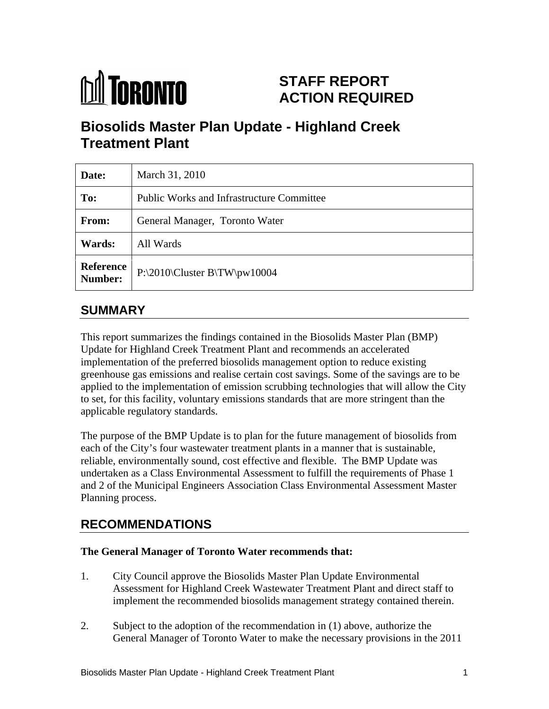# **M** TORONTO

# **STAFF REPORT ACTION REQUIRED**

# **Biosolids Master Plan Update - Highland Creek Treatment Plant**

| Date:         | March 31, 2010                                    |
|---------------|---------------------------------------------------|
| To:           | <b>Public Works and Infrastructure Committee</b>  |
| From:         | General Manager, Toronto Water                    |
| <b>Wards:</b> | All Wards                                         |
|               | Reference<br>Number: P:\2010\Cluster B\TW\pw10004 |

# **SUMMARY**

This report summarizes the findings contained in the Biosolids Master Plan (BMP) Update for Highland Creek Treatment Plant and recommends an accelerated implementation of the preferred biosolids management option to reduce existing greenhouse gas emissions and realise certain cost savings. Some of the savings are to be applied to the implementation of emission scrubbing technologies that will allow the City to set, for this facility, voluntary emissions standards that are more stringent than the applicable regulatory standards. The purpose of the BMP Update is to plan for the future management of biosolids from

each of the City's four wastewater treatment plants in a manner that is sustainable, reliable, environmentally sound, cost effective and flexible. The BMP Update was undertaken as a Class Environmental Assessment to fulfill the requirements of Phase 1 and 2 of the Municipal Engineers Association Class Environmental Assessment Master Planning process.

# **RECOMMENDATIONS**

#### **The General Manager of Toronto Water recommends that:**

- 1. City Council approve the Biosolids Master Plan Update Environmental Assessment for Highland Creek Wastewater Treatment Plant and direct staff to implement the recommended biosolids management strategy contained therein.
- 2. Subject to the adoption of the recommendation in (1) above, authorize the General Manager of Toronto Water to make the necessary provisions in the 2011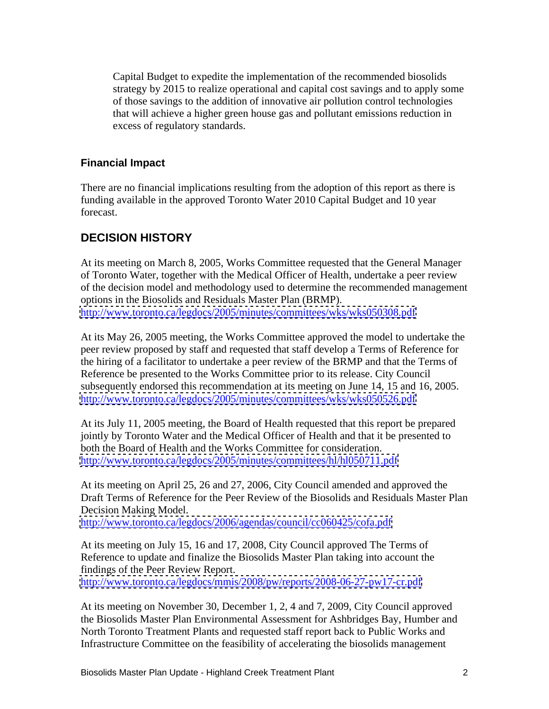Capital Budget to expedite the implementation of the recommended biosolids strategy by 2015 to realize operational and capital cost savings and to apply some of those savings to the addition of innovative air pollution control technologies that will achieve a higher green house gas and pollutant emissions reduction in excess of regulatory standards.

#### **Financial Impact**

There are no financial implications resulting from the adoption of this report as there is funding available in the approved Toronto Water 2010 Capital Budget and 10 year forecast.

#### **DECISION HISTORY**

At its meeting on March 8, 2005, Works Committee requested that the General Manager of Toronto Water, together with the Medical Officer of Health, undertake a peer review of the decision model and methodology used to determine the recommended management options in the Biosolids and Residuals Master Plan (BRMP). <http://www.toronto.ca/legdocs/2005/minutes/committees/wks/wks050308.pdf>

At its May 26, 2005 meeting, the Works Committee approved the model to undertake the peer review proposed by staff and requested that staff develop a Terms of Reference for the hiring of a facilitator to undertake a peer review of the BRMP and that the Terms of Reference be presented to the Works Committee prior to its release. City Council subsequently endorsed this recommendation at its meeting on June 14, 15 and 16, 2005. <http://www.toronto.ca/legdocs/2005/minutes/committees/wks/wks050526.pdf>

At its July 11, 2005 meeting, the Board of Health requested that this report be prepared jointly by Toronto Water and the Medical Officer of Health and that it be presented to both the Board of Health and the Works Committee for consideration. <http://www.toronto.ca/legdocs/2005/minutes/committees/hl/hl050711.pdf>

At its meeting on April 25, 26 and 27, 2006, City Council amended and approved the Draft Terms of Reference for the Peer Review of the Biosolids and Residuals Master Plan Decision Making Model.

<http://www.toronto.ca/legdocs/2006/agendas/council/cc060425/cofa.pdf>

At its meeting on July 15, 16 and 17, 2008, City Council approved The Terms of Reference to update and finalize the Biosolids Master Plan taking into account the findings of the Peer Review Report.

<http://www.toronto.ca/legdocs/mmis/2008/pw/reports/2008-06-27-pw17-cr.pdf>

At its meeting on November 30, December 1, 2, 4 and 7, 2009, City Council approved the Biosolids Master Plan Environmental Assessment for Ashbridges Bay, Humber and North Toronto Treatment Plants and requested staff report back to Public Works and Infrastructure Committee on the feasibility of accelerating the biosolids management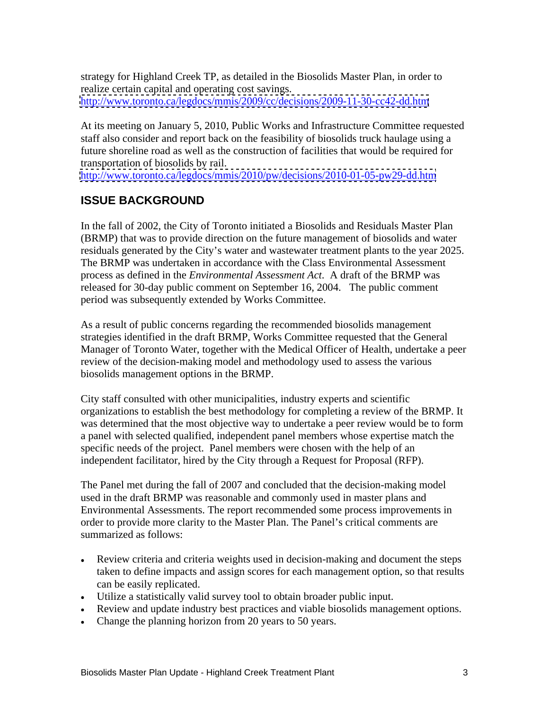strategy for Highland Creek TP, as detailed in the Biosolids Master Plan, in order to realize certain capital and operating cost savings. <http://www.toronto.ca/legdocs/mmis/2009/cc/decisions/2009-11-30-cc42-dd.htm>

At its meeting on January 5, 2010, Public Works and Infrastructure Committee requested staff also consider and report back on the feasibility of biosolids truck haulage using a future shoreline road as well as the construction of facilities that would be required for transportation of biosolids by rail.

<http://www.toronto.ca/legdocs/mmis/2010/pw/decisions/2010-01-05-pw29-dd.htm>

# **ISSUE BACKGROUND**

In the fall of 2002, the City of Toronto initiated a Biosolids and Residuals Master Plan (BRMP) that was to provide direction on the future management of biosolids and water residuals generated by the City's water and wastewater treatment plants to the year 2025. The BRMP was undertaken in accordance with the Class Environmental Assessment process as defined in the *Environmental Assessment Act*. A draft of the BRMP was released for 30-day public comment on September 16, 2004. The public comment period was subsequently extended by Works Committee.

As a result of public concerns regarding the recommended biosolids management strategies identified in the draft BRMP, Works Committee requested that the General Manager of Toronto Water, together with the Medical Officer of Health, undertake a peer review of the decision-making model and methodology used to assess the various biosolids management options in the BRMP.

City staff consulted with other municipalities, industry experts and scientific organizations to establish the best methodology for completing a review of the BRMP. It was determined that the most objective way to undertake a peer review would be to form a panel with selected qualified, independent panel members whose expertise match the specific needs of the project. Panel members were chosen with the help of an independent facilitator, hired by the City through a Request for Proposal (RFP).

The Panel met during the fall of 2007 and concluded that the decision-making model used in the draft BRMP was reasonable and commonly used in master plans and Environmental Assessments. The report recommended some process improvements in order to provide more clarity to the Master Plan. The Panel's critical comments are summarized as follows:

- Review criteria and criteria weights used in decision-making and document the steps taken to define impacts and assign scores for each management option, so that results can be easily replicated.
- Utilize a statistically valid survey tool to obtain broader public input.
- Review and update industry best practices and viable biosolids management options.
- Change the planning horizon from 20 years to 50 years.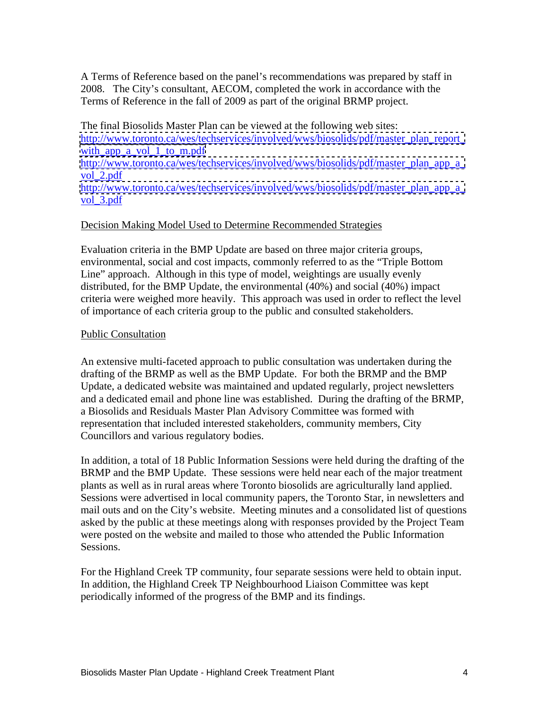A Terms of Reference based on the panel's recommendations was prepared by staff in 2008. The City's consultant, AECOM, completed the work in accordance with the Terms of Reference in the fall of 2009 as part of the original BRMP project.

The final Biosolids Master Plan can be viewed at the following web sites: http://www.toronto.ca/wes/techservices/involved/wws/biosolids/pdf/master\_plan\_report with app a vol 1 to m.pdf [http://www.toronto.ca/wes/techservices/involved/wws/biosolids/pdf/master\\_plan\\_app\\_a\\_](http://www.toronto.ca/wes/techservices/involved/wws/biosolids/pdf/master_plan_app_a_) vol\_2.pdf and the state of the state of the state of the state of the state of the state of the state of the state of the state of the state of the state of the state of the state of the state of the state of the state of http://www.toronto.ca/wes/techservices/involved/wws/biosolids/pdf/master\_plan\_app\_a vol\_3.pdf and a set of the set of the set of the set of the set of the set of the set of the set of the set of the set of the set of the set of the set of the set of the set of the set of the set of the set of the set of t

#### Decision Making Model Used to Determine Recommended Strategies

Evaluation criteria in the BMP Update are based on three major criteria groups, environmental, social and cost impacts, commonly referred to as the "Triple Bottom Line" approach. Although in this type of model, weightings are usually evenly distributed, for the BMP Update, the environmental (40%) and social (40%) impact criteria were weighed more heavily. This approach was used in order to reflect the level of importance of each criteria group to the public and consulted stakeholders.

#### Public Consultation **Public Consultation**

An extensive multi-faceted approach to public consultation was undertaken during the drafting of the BRMP as well as the BMP Update. For both the BRMP and the BMP Update, a dedicated website was maintained and updated regularly, project newsletters and a dedicated email and phone line was established. During the drafting of the BRMP, a Biosolids and Residuals Master Plan Advisory Committee was formed with representation that included interested stakeholders, community members, City Councillors and various regulatory bodies. In addition, a total of 18 Public Information Sessions were held during the drafting of the

BRMP and the BMP Update. These sessions were held near each of the major treatment plants as well as in rural areas where Toronto biosolids are agriculturally land applied. Sessions were advertised in local community papers, the Toronto Star, in newsletters and mail outs and on the City's website. Meeting minutes and a consolidated list of questions asked by the public at these meetings along with responses provided by the Project Team were posted on the website and mailed to those who attended the Public Information Sessions.

For the Highland Creek TP community, four separate sessions were held to obtain input. In addition, the Highland Creek TP Neighbourhood Liaison Committee was kept periodically informed of the progress of the BMP and its findings.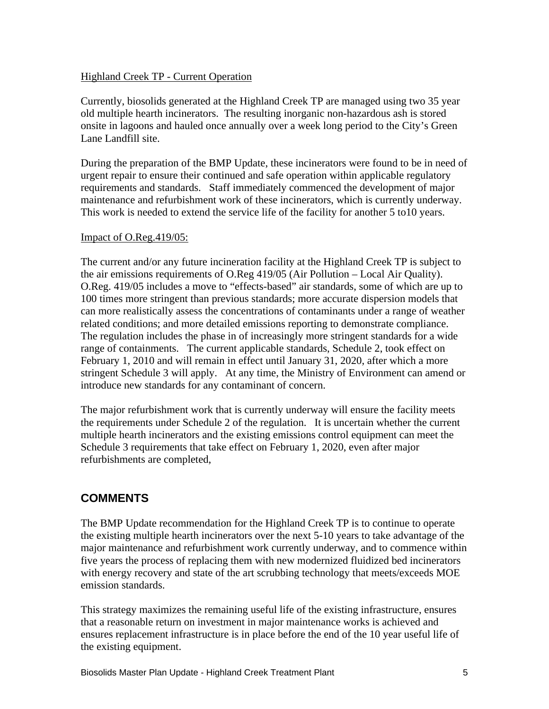#### Highland Creek TP - Current Operation

Currently, biosolids generated at the Highland Creek TP are managed using two 35 year old multiple hearth incinerators. The resulting inorganic non-hazardous ash is stored onsite in lagoons and hauled once annually over a week long period to the City's Green Lane Landfill site.

During the preparation of the BMP Update, these incinerators were found to be in need of urgent repair to ensure their continued and safe operation within applicable regulatory requirements and standards. Staff immediately commenced the development of major maintenance and refurbishment work of these incinerators, which is currently underway. This work is needed to extend the service life of the facility for another 5 to10 years.

#### Impact of O.Reg.419/05:

The current and/or any future incineration facility at the Highland Creek TP is subject to the air emissions requirements of O.Reg 419/05 (Air Pollution – Local Air Quality). O.Reg. 419/05 includes a move to "effects-based" air standards, some of which are up to 100 times more stringent than previous standards; more accurate dispersion models that can more realistically assess the concentrations of contaminants under a range of weather related conditions; and more detailed emissions reporting to demonstrate compliance. The regulation includes the phase in of increasingly more stringent standards for a wide range of containments. The current applicable standards, Schedule 2, took effect on February 1, 2010 and will remain in effect until January 31, 2020, after which a more stringent Schedule 3 will apply. At any time, the Ministry of Environment can amend or introduce new standards for any contaminant of concern.

The major refurbishment work that is currently underway will ensure the facility meets the requirements under Schedule 2 of the regulation. It is uncertain whether the current multiple hearth incinerators and the existing emissions control equipment can meet the Schedule 3 requirements that take effect on February 1, 2020, even after major refurbishments are completed,

## **COMMENTS**

The BMP Update recommendation for the Highland Creek TP is to continue to operate the existing multiple hearth incinerators over the next 5-10 years to take advantage of the major maintenance and refurbishment work currently underway, and to commence within five years the process of replacing them with new modernized fluidized bed incinerators with energy recovery and state of the art scrubbing technology that meets/exceeds MOE emission standards.

This strategy maximizes the remaining useful life of the existing infrastructure, ensures that a reasonable return on investment in major maintenance works is achieved and ensures replacement infrastructure is in place before the end of the 10 year useful life of the existing equipment.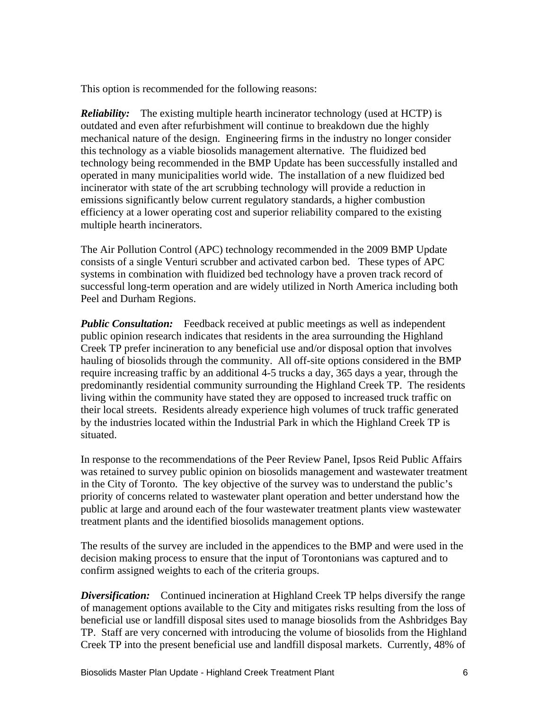This option is recommended for the following reasons:

*Reliability:* The existing multiple hearth incinerator technology (used at HCTP) is outdated and even after refurbishment will continue to breakdown due the highly mechanical nature of the design. Engineering firms in the industry no longer consider this technology as a viable biosolids management alternative. The fluidized bed technology being recommended in the BMP Update has been successfully installed and operated in many municipalities world wide. The installation of a new fluidized bed incinerator with state of the art scrubbing technology will provide a reduction in emissions significantly below current regulatory standards, a higher combustion efficiency at a lower operating cost and superior reliability compared to the existing multiple hearth incinerators.

The Air Pollution Control (APC) technology recommended in the 2009 BMP Update consists of a single Venturi scrubber and activated carbon bed. These types of APC systems in combination with fluidized bed technology have a proven track record of successful long-term operation and are widely utilized in North America including both Peel and Durham Regions.

*Public Consultation:* Feedback received at public meetings as well as independent public opinion research indicates that residents in the area surrounding the Highland Creek TP prefer incineration to any beneficial use and/or disposal option that involves hauling of biosolids through the community. All off-site options considered in the BMP require increasing traffic by an additional 4-5 trucks a day, 365 days a year, through the predominantly residential community surrounding the Highland Creek TP. The residents living within the community have stated they are opposed to increased truck traffic on their local streets. Residents already experience high volumes of truck traffic generated by the industries located within the Industrial Park in which the Highland Creek TP is situated.

In response to the recommendations of the Peer Review Panel, Ipsos Reid Public Affairs was retained to survey public opinion on biosolids management and wastewater treatment in the City of Toronto. The key objective of the survey was to understand the public's priority of concerns related to wastewater plant operation and better understand how the public at large and around each of the four wastewater treatment plants view wastewater treatment plants and the identified biosolids management options.

The results of the survey are included in the appendices to the BMP and were used in the decision making process to ensure that the input of Torontonians was captured and to confirm assigned weights to each of the criteria groups.

*Diversification:* Continued incineration at Highland Creek TP helps diversify the range of management options available to the City and mitigates risks resulting from the loss of beneficial use or landfill disposal sites used to manage biosolids from the Ashbridges Bay TP. Staff are very concerned with introducing the volume of biosolids from the Highland Creek TP into the present beneficial use and landfill disposal markets. Currently, 48% of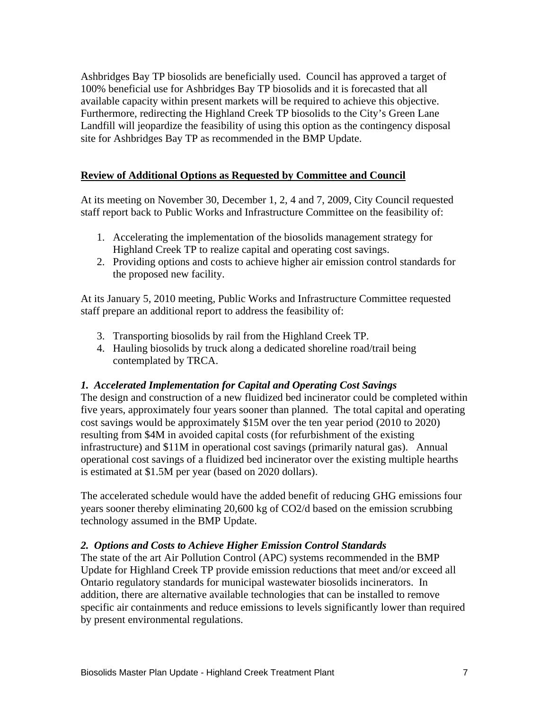Ashbridges Bay TP biosolids are beneficially used. Council has approved a target of 100% beneficial use for Ashbridges Bay TP biosolids and it is forecasted that all available capacity within present markets will be required to achieve this objective. Furthermore, redirecting the Highland Creek TP biosolids to the City's Green Lane Landfill will jeopardize the feasibility of using this option as the contingency disposal site for Ashbridges Bay TP as recommended in the BMP Update.

#### **Review of Additional Options as Requested by Committee and Council**

At its meeting on November 30, December 1, 2, 4 and 7, 2009, City Council requested staff report back to Public Works and Infrastructure Committee on the feasibility of:

- 1. Accelerating the implementation of the biosolids management strategy for Highland Creek TP to realize capital and operating cost savings.
- 2. Providing options and costs to achieve higher air emission control standards for the proposed new facility.

At its January 5, 2010 meeting, Public Works and Infrastructure Committee requested staff prepare an additional report to address the feasibility of:

- 3. Transporting biosolids by rail from the Highland Creek TP.
- 4. Hauling biosolids by truck along a dedicated shoreline road/trail being contemplated by TRCA.

#### *1. Accelerated Implementation for Capital and Operating Cost Savings*

The design and construction of a new fluidized bed incinerator could be completed within five years, approximately four years sooner than planned. The total capital and operating cost savings would be approximately \$15M over the ten year period (2010 to 2020) resulting from \$4M in avoided capital costs (for refurbishment of the existing infrastructure) and \$11M in operational cost savings (primarily natural gas). Annual operational cost savings of a fluidized bed incinerator over the existing multiple hearths is estimated at \$1.5M per year (based on 2020 dollars).

The accelerated schedule would have the added benefit of reducing GHG emissions four years sooner thereby eliminating 20,600 kg of CO2/d based on the emission scrubbing technology assumed in the BMP Update.

#### *2. Options and Costs to Achieve Higher Emission Control Standards*

The state of the art Air Pollution Control (APC) systems recommended in the BMP Update for Highland Creek TP provide emission reductions that meet and/or exceed all Ontario regulatory standards for municipal wastewater biosolids incinerators. In addition, there are alternative available technologies that can be installed to remove specific air containments and reduce emissions to levels significantly lower than required by present environmental regulations.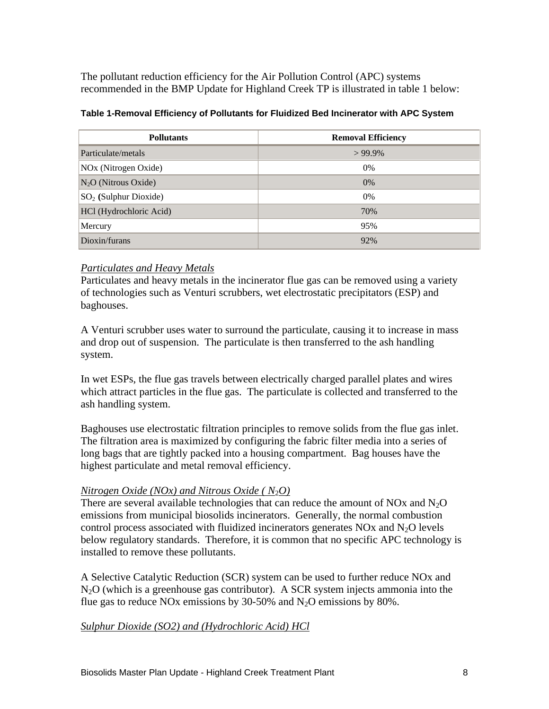The pollutant reduction efficiency for the Air Pollution Control (APC) systems recommended in the BMP Update for Highland Creek TP is illustrated in table 1 below:

| <b>Pollutants</b>                         | <b>Removal Efficiency</b> |
|-------------------------------------------|---------------------------|
| Particulate/metals                        | $>99.9\%$                 |
| NOx (Nitrogen Oxide)                      |                           |
| $N_2O$ (Nitrous Oxide)                    |                           |
| $\big $ SO <sub>2</sub> (Sulphur Dioxide) |                           |
| HCl (Hydrochloric Acid)                   |                           |
| Mercury                                   |                           |
| Dioxin/furans                             |                           |

#### **Table 1-Removal Efficiency of Pollutants for Fluidized Bed Incinerator with APC System**

#### *Particulates and Heavy Metals*

Particulates and heavy metals in the incinerator flue gas can be removed using a variety of technologies such as Venturi scrubbers, wet electrostatic precipitators (ESP) and baghouses.

A Venturi scrubber uses water to surround the particulate, causing it to increase in mass and drop out of suspension. The particulate is then transferred to the ash handling system.

In wet ESPs, the flue gas travels between electrically charged parallel plates and wires which attract particles in the flue gas. The particulate is collected and transferred to the ash handling system.

Baghouses use electrostatic filtration principles to remove solids from the flue gas inlet. The filtration area is maximized by configuring the fabric filter media into a series of long bags that are tightly packed into a housing compartment. Bag houses have the highest particulate and metal removal efficiency.

#### *<u><i>Nitrogen Oxide (NOx)* and *Nitrous Oxide* (*N*<sub>2</sub>*O*)</u>

There are several available technologies that can reduce the amount of NOx and  $N_2O$ emissions from municipal biosolids incinerators. Generally, the normal combustion control process associated with fluidized incinerators generates  $NOx$  and  $N<sub>2</sub>O$  levels below regulatory standards. Therefore, it is common that no specific APC technology is

installed to remove these pollutants.<br>A Selective Catalytic Reduction (SCR) system can be used to further reduce NOx and  $N<sub>2</sub>O$  (which is a greenhouse gas contributor). A SCR system injects ammonia into the flue gas to reduce NOx emissions by 30-50% and  $N_2O$  emissions by 80%.

#### *Sulphur Dioxide (SO2) and (Hydrochloric Acid) HCl*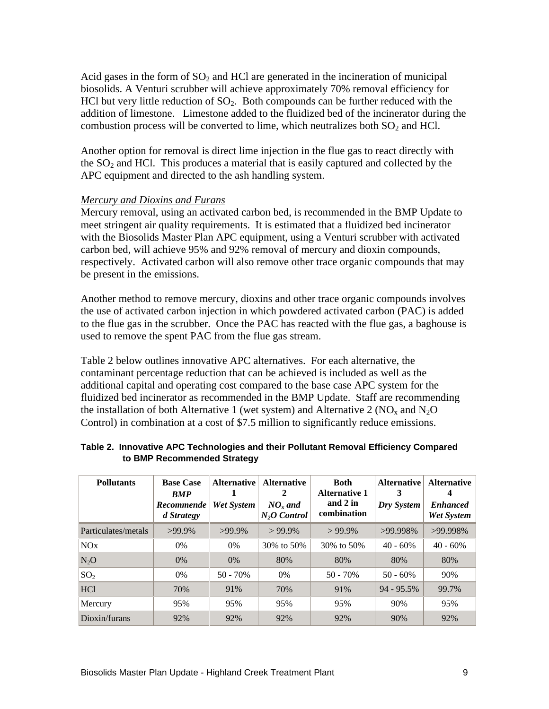Acid gases in the form of  $SO<sub>2</sub>$  and HCl are generated in the incineration of municipal biosolids. A Venturi scrubber will achieve approximately 70% removal efficiency for HCl but very little reduction of  $SO<sub>2</sub>$ . Both compounds can be further reduced with the addition of limestone. Limestone added to the fluidized bed of the incinerator during the combustion process will be converted to lime, which neutralizes both  $SO<sub>2</sub>$  and HCl.

Another option for removal is direct lime injection in the flue gas to react directly with the  $SO<sub>2</sub>$  and HCl. This produces a material that is easily captured and collected by the APC equipment and directed to the ash handling system.

#### *Mercury and Dioxins and Furans*

Mercury removal, using an activated carbon bed, is recommended in the BMP Update to meet stringent air quality requirements. It is estimated that a fluidized bed incinerator with the Biosolids Master Plan APC equipment, using a Venturi scrubber with activated carbon bed, will achieve 95% and 92% removal of mercury and dioxin compounds, respectively. Activated carbon will also remove other trace organic compounds that may be present in the emissions.

Another method to remove mercury, dioxins and other trace organic compounds involves the use of activated carbon injection in which powdered activated carbon (PAC) is added to the flue gas in the scrubber. Once the PAC has reacted with the flue gas, a baghouse is used to remove the spent PAC from the flue gas stream.

Table 2 below outlines innovative APC alternatives. For each alternative, the contaminant percentage reduction that can be achieved is included as well as the additional capital and operating cost compared to the base case APC system for the fluidized bed incinerator as recommended in the BMP Update. Staff are recommending the installation of both Alternative 1 (wet system) and Alternative 2 ( $NO<sub>x</sub>$  and  $N<sub>2</sub>O$ Control) in combination at a cost of \$7.5 million to significantly reduce emissions.

| <b>Pollutants</b>   |            | <b>Base Case</b>   Alternative   Alternative |                | <b>Both</b>                                          | Alternative   Alternative              |                   |
|---------------------|------------|----------------------------------------------|----------------|------------------------------------------------------|----------------------------------------|-------------------|
|                     | BMP        |                                              |                | <b>Alternative 1</b>                                 |                                        |                   |
|                     |            | <b>Recommende</b>   Wet System   $NO_x$ and  |                | and $2 \text{ in}$                                   | $\vert$ Dry System $\vert$ Enhanced    |                   |
|                     | d Strategy |                                              | $N_2O$ Control | combination                                          |                                        | <b>Wet System</b> |
| Particulates/metals | >99.9%     | >99.9%                                       | $>99.9\%$      | $>99.9\%$                                            | $>99.998\%$                            | $  >99.998\%$     |
| NOx                 | 0%         | 0%                                           |                | $30\% \text{ to } 50\%$ 30% to 50% 40 - 60% 40 - 60% |                                        |                   |
| $N_2O$              | 0%         | $0\%$                                        | 80%            | 80%                                                  | 80%                                    | 80%               |
| $\mathrm{SO}_2$     | $0\%$      | 50 - 70%                                     | 0%             | 50 - 70%                                             | $50 - 60\%$                            | 90%               |
| HCl                 | 70%        | 91%                                          | 70%            | 91%                                                  | $\vert 94 - 95.5\% \vert 99.7\% \vert$ |                   |
| Mercury             | 95%        | 95%                                          | 95%            | 95%                                                  | 90%                                    | 95%               |
| Dioxin/furans       | 92%        | 92%                                          | 92%            | 92%                                                  | 90%                                    | 92%               |

#### **Table 2. Innovative APC Technologies and their Pollutant Removal Efficiency Compared to BMP Recommended Strategy**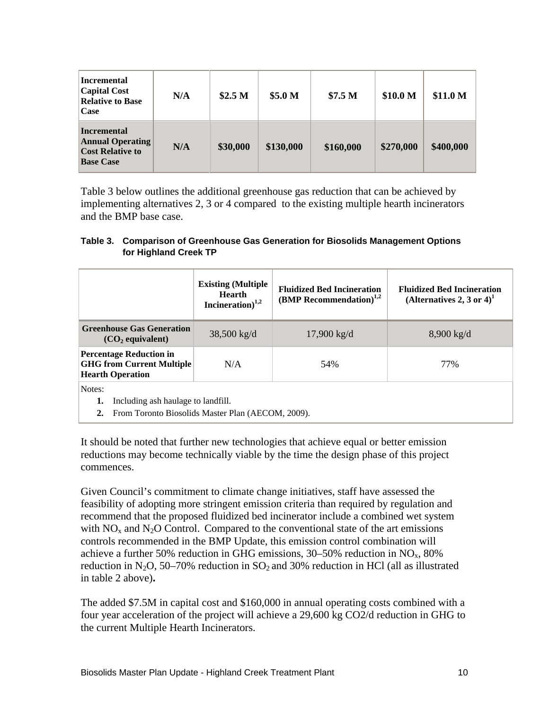Table 3 below outlines the additional greenhouse gas reduction that can be achieved by implementing alternatives 2, 3 or 4 compared to the existing multiple hearth incinerators and the BMP base case.

#### **Table 3. Comparison of Greenhouse Gas Generation for Biosolids Management Options for Highland Creek TP**

|                                                                                               | Hearth<br>Incineration) $1,2$ | Existing (Multiple   Fluidized Bed Incineration   Fluit 11<br><b>(BMP Recommendation)</b> <sup>1,2</sup> | <b>Fluidized Bed Incineration</b><br>(Alternatives 2, 3 or 4) <sup>1</sup> |
|-----------------------------------------------------------------------------------------------|-------------------------------|----------------------------------------------------------------------------------------------------------|----------------------------------------------------------------------------|
| Greenhouse Gas Generation<br>(CO <sub>2</sub> equivalent)                                     | 38,500 kg/d                   | 17,900 kg/d                                                                                              | 8,900 kg/d                                                                 |
|                                                                                               |                               |                                                                                                          |                                                                            |
| <b>Percentage Reduction in</b><br><b>GHG from Current Multiple</b><br><b>Hearth Operation</b> | N/A                           | 54%                                                                                                      | 77%                                                                        |
| Notes:<br>1. Including ash haulage to landfill.                                               |                               |                                                                                                          |                                                                            |

**2.** From Toronto Biosolids Master Plan (AECOM, 2009).

It should be noted that further new technologies that achieve equal or better emission reductions may become technically viable by the time the design phase of this project commences.

Given Council's commitment to climate change initiatives, staff have assessed the feasibility of adopting more stringent emission criteria than required by regulation and recommend that the proposed fluidized bed incinerator include a combined wet system with  $NO<sub>x</sub>$  and  $N<sub>2</sub>O$  Control. Compared to the conventional state of the art emissions controls recommended in the BMP Update, this emission control combination will achieve a further 50% reduction in GHG emissions, 30–50% reduction in  $NO<sub>x</sub>$ , 80% reduction in N<sub>2</sub>O, 50–70% reduction in SO<sub>2</sub> and 30% reduction in HCl (all as illustrated in table 2 above)**.** 

The added \$7.5M in capital cost and \$160,000 in annual operating costs combined with a four year acceleration of the project will achieve a 29,600 kg CO2/d reduction in GHG to the current Multiple Hearth Incinerators.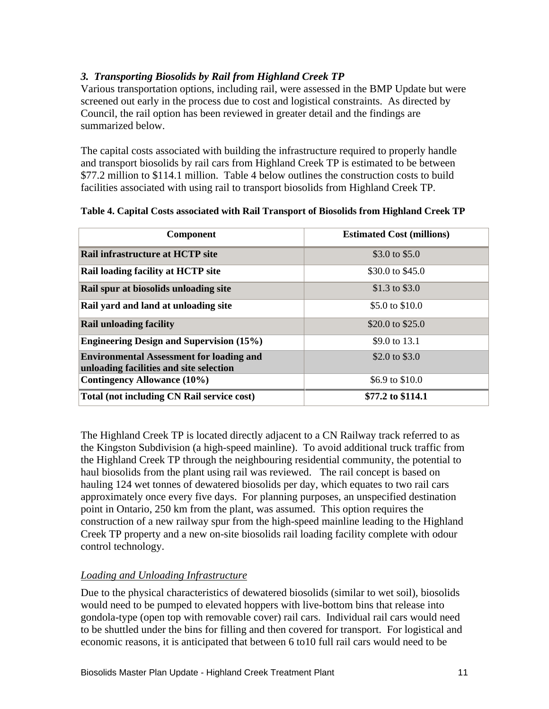#### *3. Transporting Biosolids by Rail from Highland Creek TP*

Various transportation options, including rail, were assessed in the BMP Update but were screened out early in the process due to cost and logistical constraints. As directed by Council, the rail option has been reviewed in greater detail and the findings are summarized below.

The capital costs associated with building the infrastructure required to properly handle and transport biosolids by rail cars from Highland Creek TP is estimated to be between \$77.2 million to \$114.1 million. Table 4 below outlines the construction costs to build facilities associated with using rail to transport biosolids from Highland Creek TP.

| <b>Component</b>                                                                           | <b>Estimated Cost (millions)</b> |
|--------------------------------------------------------------------------------------------|----------------------------------|
| Rail infrastructure at HCTP site                                                           | \$3.0 to \$5.0                   |
| <b>Rail loading facility at HCTP site</b>                                                  | \$30.0 to $$45.0$                |
| Rail spur at biosolids unloading site                                                      | \$1.3 to \$3.0                   |
| Rail yard and land at unloading site                                                       | \$5.0 to \$10.0                  |
| <b>Rail unloading facility</b>                                                             | \$20.0 to \$25.0                 |
| <b>Engineering Design and Supervision (15%)</b>                                            | \$9.0 to 13.1                    |
| <b>Environmental Assessment for loading and</b><br>unloading facilities and site selection | \$2.0 to \$3.0                   |
| Contingency Allowance (10%)                                                                | \$6.9 to \$10.0                  |
| Total (not including CN Rail service cost)                                                 | \$77.2 to \$114.1                |

#### **Table 4. Capital Costs associated with Rail Transport of Biosolids from Highland Creek TP**

The Highland Creek TP is located directly adjacent to a CN Railway track referred to as the Kingston Subdivision (a high-speed mainline). To avoid additional truck traffic from the Highland Creek TP through the neighbouring residential community, the potential to haul biosolids from the plant using rail was reviewed. The rail concept is based on hauling 124 wet tonnes of dewatered biosolids per day, which equates to two rail cars approximately once every five days. For planning purposes, an unspecified destination point in Ontario, 250 km from the plant, was assumed. This option requires the construction of a new railway spur from the high-speed mainline leading to the Highland Creek TP property and a new on-site biosolids rail loading facility complete with odour control technology.

#### *Loading and Unloading Infrastructure*

Due to the physical characteristics of dewatered biosolids (similar to wet soil), biosolids would need to be pumped to elevated hoppers with live-bottom bins that release into gondola-type (open top with removable cover) rail cars. Individual rail cars would need to be shuttled under the bins for filling and then covered for transport. For logistical and economic reasons, it is anticipated that between 6 to10 full rail cars would need to be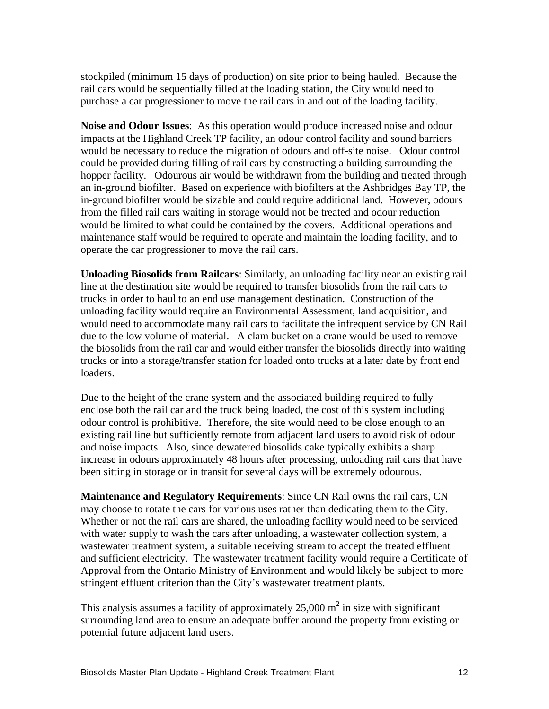stockpiled (minimum 15 days of production) on site prior to being hauled. Because the rail cars would be sequentially filled at the loading station, the City would need to purchase a car progressioner to move the rail cars in and out of the loading facility.

**Noise and Odour Issues**: As this operation would produce increased noise and odour impacts at the Highland Creek TP facility, an odour control facility and sound barriers would be necessary to reduce the migration of odours and off-site noise. Odour control could be provided during filling of rail cars by constructing a building surrounding the hopper facility. Odourous air would be withdrawn from the building and treated through an in-ground biofilter. Based on experience with biofilters at the Ashbridges Bay TP, the in-ground biofilter would be sizable and could require additional land. However, odours from the filled rail cars waiting in storage would not be treated and odour reduction would be limited to what could be contained by the covers. Additional operations and maintenance staff would be required to operate and maintain the loading facility, and to operate the car progressioner to move the rail cars.

**Unloading Biosolids from Railcars**: Similarly, an unloading facility near an existing rail line at the destination site would be required to transfer biosolids from the rail cars to trucks in order to haul to an end use management destination. Construction of the unloading facility would require an Environmental Assessment, land acquisition, and would need to accommodate many rail cars to facilitate the infrequent service by CN Rail due to the low volume of material. A clam bucket on a crane would be used to remove the biosolids from the rail car and would either transfer the biosolids directly into waiting trucks or into a storage/transfer station for loaded onto trucks at a later date by front end loaders.

Due to the height of the crane system and the associated building required to fully enclose both the rail car and the truck being loaded, the cost of this system including odour control is prohibitive. Therefore, the site would need to be close enough to an existing rail line but sufficiently remote from adjacent land users to avoid risk of odour and noise impacts. Also, since dewatered biosolids cake typically exhibits a sharp increase in odours approximately 48 hours after processing, unloading rail cars that have been sitting in storage or in transit for several days will be extremely odourous.

**Maintenance and Regulatory Requirements**: Since CN Rail owns the rail cars, CN may choose to rotate the cars for various uses rather than dedicating them to the City. Whether or not the rail cars are shared, the unloading facility would need to be serviced with water supply to wash the cars after unloading, a wastewater collection system, a wastewater treatment system, a suitable receiving stream to accept the treated effluent and sufficient electricity. The wastewater treatment facility would require a Certificate of Approval from the Ontario Ministry of Environment and would likely be subject to more stringent effluent criterion than the City's wastewater treatment plants.

This analysis assumes a facility of approximately 25,000  $m^2$  in size with significant in size with significant surrounding land area to ensure an adequate buffer around the property from existing or potential future adjacent land users.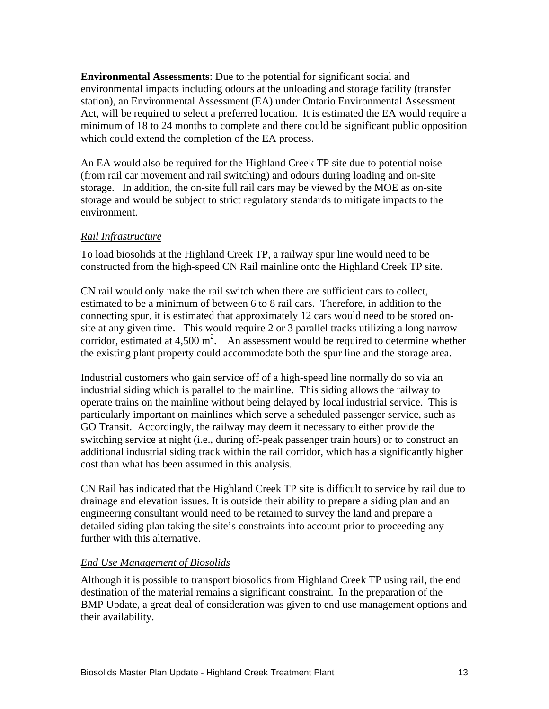**Environmental Assessments**: Due to the potential for significant social and environmental impacts including odours at the unloading and storage facility (transfer station), an Environmental Assessment (EA) under Ontario Environmental Assessment Act, will be required to select a preferred location. It is estimated the EA would require a minimum of 18 to 24 months to complete and there could be significant public opposition which could extend the completion of the EA process.

An EA would also be required for the Highland Creek TP site due to potential noise (from rail car movement and rail switching) and odours during loading and on-site storage. In addition, the on-site full rail cars may be viewed by the MOE as on-site storage and would be subject to strict regulatory standards to mitigate impacts to the environment.

#### *Rail Infrastructure*

To load biosolids at the Highland Creek TP, a railway spur line would need to be constructed from the high-speed CN Rail mainline onto the Highland Creek TP site.

CN rail would only make the rail switch when there are sufficient cars to collect, estimated to be a minimum of between 6 to 8 rail cars. Therefore, in addition to the connecting spur, it is estimated that approximately 12 cars would need to be stored on site at any given time. This would require 2 or 3 parallel tracks utilizing a long narrow corridor, estimated at  $4,500 \text{ m}^2$ . An assessment would be required to determine whether the existing plant property could accommodate both the spur line and the storage area.

Industrial customers who gain service off of a high-speed line normally do so via an industrial siding which is parallel to the mainline. This siding allows the railway to operate trains on the mainline without being delayed by local industrial service. This is particularly important on mainlines which serve a scheduled passenger service, such as GO Transit. Accordingly, the railway may deem it necessary to either provide the switching service at night (i.e., during off-peak passenger train hours) or to construct an additional industrial siding track within the rail corridor, which has a significantly higher cost than what has been assumed in this analysis.

CN Rail has indicated that the Highland Creek TP site is difficult to service by rail due to drainage and elevation issues. It is outside their ability to prepare a siding plan and an engineering consultant would need to be retained to survey the land and prepare a detailed siding plan taking the site's constraints into account prior to proceeding any further with this alternative.

#### *End Use Management of Biosolids*

Although it is possible to transport biosolids from Highland Creek TP using rail, the end destination of the material remains a significant constraint. In the preparation of the BMP Update, a great deal of consideration was given to end use management options and their availability.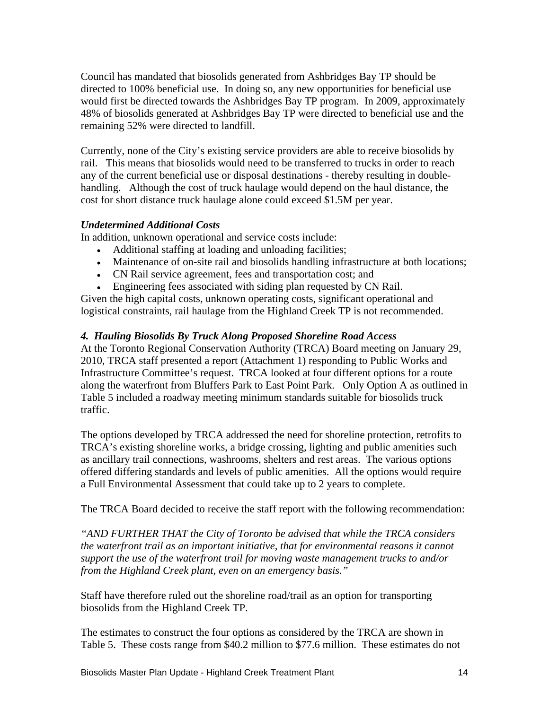Council has mandated that biosolids generated from Ashbridges Bay TP should be directed to 100% beneficial use. In doing so, any new opportunities for beneficial use would first be directed towards the Ashbridges Bay TP program. In 2009, approximately 48% of biosolids generated at Ashbridges Bay TP were directed to beneficial use and the remaining 52% were directed to landfill.

Currently, none of the City's existing service providers are able to receive biosolids by rail. This means that biosolids would need to be transferred to trucks in order to reach any of the current beneficial use or disposal destinations - thereby resulting in double handling. Although the cost of truck haulage would depend on the haul distance, the cost for short distance truck haulage alone could exceed \$1.5M per year.

#### *Undetermined Additional Costs*

In addition, unknown operational and service costs include:

- Additional staffing at loading and unloading facilities;
- Maintenance of on-site rail and biosolids handling infrastructure at both locations;
- CN Rail service agreement, fees and transportation cost; and
- Engineering fees associated with siding plan requested by CN Rail.

Given the high capital costs, unknown operating costs, significant operational and logistical constraints, rail haulage from the Highland Creek TP is not recommended.

#### *4. Hauling Biosolids By Truck Along Proposed Shoreline Road Access*

At the Toronto Regional Conservation Authority (TRCA) Board meeting on January 29, 2010, TRCA staff presented a report (Attachment 1) responding to Public Works and Infrastructure Committee's request. TRCA looked at four different options for a route along the waterfront from Bluffers Park to East Point Park. Only Option A as outlined in Table 5 included a roadway meeting minimum standards suitable for biosolids truck traffic.

The options developed by TRCA addressed the need for shoreline protection, retrofits to TRCA's existing shoreline works, a bridge crossing, lighting and public amenities such as ancillary trail connections, washrooms, shelters and rest areas. The various options offered differing standards and levels of public amenities. All the options would require

a Full Environmental Assessment that could take up to 2 years to complete.<br>The TRCA Board decided to receive the staff report with the following recommendation:

*"AND FURTHER THAT the City of Toronto be advised that while the TRCA considers the waterfront trail as an important initiative, that for environmental reasons it cannot support the use of the waterfront trail for moving waste management trucks to and/or from the Highland Creek plant, even on an emergency basis."*

Staff have therefore ruled out the shoreline road/trail as an option for transporting biosolids from the Highland Creek TP.

The estimates to construct the four options as considered by the TRCA are shown in Table 5. These costs range from \$40.2 million to \$77.6 million. These estimates do not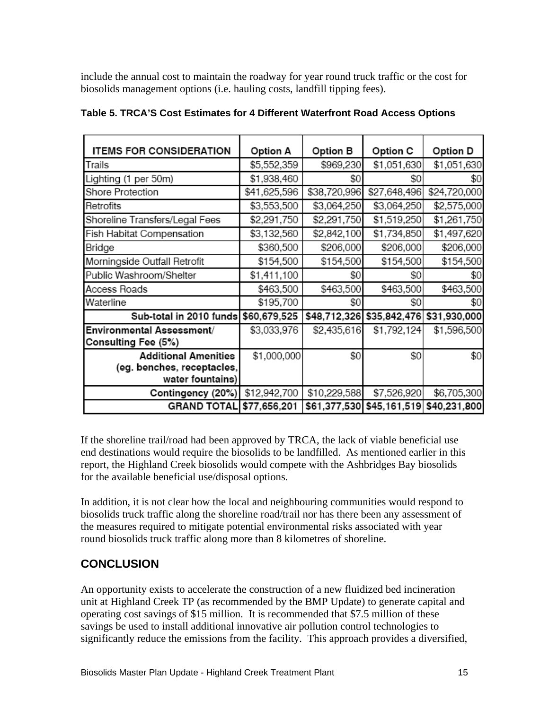include the annual cost to maintain the roadway for year round truck traffic or the cost for biosolids management options (i.e. hauling costs, landfill tipping fees).

| <b>ITEMS FOR CONSIDERATION</b> |              |              |                           |              |
|--------------------------------|--------------|--------------|---------------------------|--------------|
|                                | Option A     | Option B     | Option C                  | Option D     |
| Trails                         | \$5,552,359  | \$969,230    | \$1,051,630               | \$1,051,630  |
| Lighting (1 per 50m)           | \$1,938,460  | \$0          | S0                        | \$0          |
| Shore Protection               | \$41,625,596 | \$38,720,996 | \$27,648,496              | \$24,720,000 |
| Retrofits                      | \$3,553,500  | \$3,064,250  | \$3,064,250               | \$2,575,000  |
| Shoreline Transfers/Legal Fees | \$2,291,750  | \$2,291,750  | \$1,519,250               | \$1,261,750  |
| Fish Habitat Compensation      | \$3,132,560  | \$2,842,100  | \$1,734,850               | \$1,497,620  |
| Bridge                         | \$360,500    | \$206,000    | \$206,000                 | \$206,000    |
| Morningside Outfall Retrofit   | \$154,500    | \$154,500    | \$154,500                 | \$154,500    |
| Public Washroom/Shelter        | \$1,411,100  | \$0          | S0                        | \$0          |
| Access Roads                   | \$463,500    | \$463,500    | \$463,500                 | \$463,500    |
| Waterline                      | \$195,700    | \$0          | SO.                       | \$0          |
| Sub-total in 2010 funds        | \$60,679,525 |              | \$48,712,326 \$35,842,476 | \$31,930,000 |
| Environmental Assessment/      | \$3,033,976  | \$2,435,616  | \$1,792,124               | \$1,596,500  |
| Consulting Fee (5%)            |              |              |                           |              |
| <b>Additional Amenities</b>    | \$1,000,000  | \$0          | \$0                       | \$0          |
| (eg. benches, receptacles,     |              |              |                           |              |
| water fountains)               |              |              |                           |              |
| Contingency (20%)              | \$12,942,700 | \$10,229,588 | \$7,526,920               | \$6,705,300  |
| <b>GRAND TOTAL</b>             | \$77,656,201 |              | \$61,377,530 \$45,161,519 | \$40,231,800 |

#### **Table 5. TRCA'S Cost Estimates for 4 Different Waterfront Road Access Options**

If the shoreline trail/road had been approved by TRCA, the lack of viable beneficial use end destinations would require the biosolids to be landfilled. As mentioned earlier in this report, the Highland Creek biosolids would compete with the Ashbridges Bay biosolids for the available beneficial use/disposal options.

In addition, it is not clear how the local and neighbouring communities would respond to biosolids truck traffic along the shoreline road/trail nor has there been any assessment of the measures required to mitigate potential environmental risks associated with year round biosolids truck traffic along more than 8 kilometres of shoreline.

## **CONCLUSION**

An opportunity exists to accelerate the construction of a new fluidized bed incineration unit at Highland Creek TP (as recommended by the BMP Update) to generate capital and operating cost savings of \$15 million. It is recommended that \$7.5 million of these savings be used to install additional innovative air pollution control technologies to significantly reduce the emissions from the facility. This approach provides a diversified,